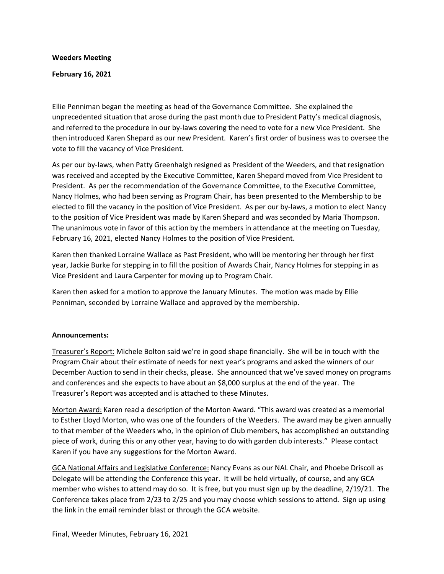#### **Weeders Meeting**

#### **February 16, 2021**

Ellie Penniman began the meeting as head of the Governance Committee. She explained the unprecedented situation that arose during the past month due to President Patty's medical diagnosis, and referred to the procedure in our by-laws covering the need to vote for a new Vice President. She then introduced Karen Shepard as our new President. Karen's first order of business was to oversee the vote to fill the vacancy of Vice President.

As per our by-laws, when Patty Greenhalgh resigned as President of the Weeders, and that resignation was received and accepted by the Executive Committee, Karen Shepard moved from Vice President to President. As per the recommendation of the Governance Committee, to the Executive Committee, Nancy Holmes, who had been serving as Program Chair, has been presented to the Membership to be elected to fill the vacancy in the position of Vice President. As per our by-laws, a motion to elect Nancy to the position of Vice President was made by Karen Shepard and was seconded by Maria Thompson. The unanimous vote in favor of this action by the members in attendance at the meeting on Tuesday, February 16, 2021, elected Nancy Holmes to the position of Vice President.

Karen then thanked Lorraine Wallace as Past President, who will be mentoring her through her first year, Jackie Burke for stepping in to fill the position of Awards Chair, Nancy Holmes for stepping in as Vice President and Laura Carpenter for moving up to Program Chair.

Karen then asked for a motion to approve the January Minutes. The motion was made by Ellie Penniman, seconded by Lorraine Wallace and approved by the membership.

# **Announcements:**

Treasurer's Report: Michele Bolton said we're in good shape financially. She will be in touch with the Program Chair about their estimate of needs for next year's programs and asked the winners of our December Auction to send in their checks, please. She announced that we've saved money on programs and conferences and she expects to have about an \$8,000 surplus at the end of the year. The Treasurer's Report was accepted and is attached to these Minutes.

Morton Award: Karen read a description of the Morton Award. "This award was created as a memorial to Esther Lloyd Morton, who was one of the founders of the Weeders. The award may be given annually to that member of the Weeders who, in the opinion of Club members, has accomplished an outstanding piece of work, during this or any other year, having to do with garden club interests." Please contact Karen if you have any suggestions for the Morton Award.

GCA National Affairs and Legislative Conference: Nancy Evans as our NAL Chair, and Phoebe Driscoll as Delegate will be attending the Conference this year. It will be held virtually, of course, and any GCA member who wishes to attend may do so. It is free, but you must sign up by the deadline, 2/19/21. The Conference takes place from 2/23 to 2/25 and you may choose which sessions to attend. Sign up using the link in the email reminder blast or through the GCA website.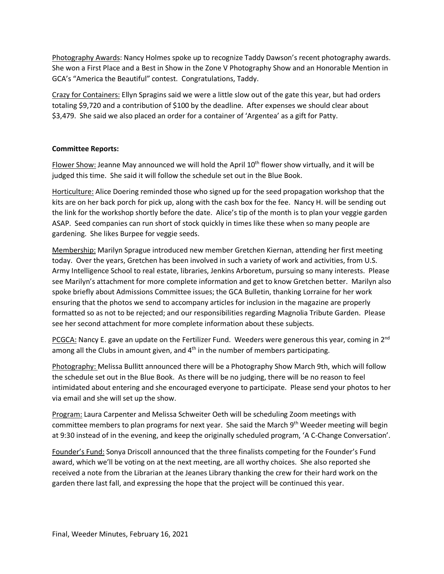Photography Awards: Nancy Holmes spoke up to recognize Taddy Dawson's recent photography awards. She won a First Place and a Best in Show in the Zone V Photography Show and an Honorable Mention in GCA's "America the Beautiful" contest. Congratulations, Taddy.

Crazy for Containers: Ellyn Spragins said we were a little slow out of the gate this year, but had orders totaling \$9,720 and a contribution of \$100 by the deadline. After expenses we should clear about \$3,479. She said we also placed an order for a container of 'Argentea' as a gift for Patty.

# **Committee Reports:**

Flower Show: Jeanne May announced we will hold the April  $10<sup>th</sup>$  flower show virtually, and it will be judged this time. She said it will follow the schedule set out in the Blue Book.

Horticulture: Alice Doering reminded those who signed up for the seed propagation workshop that the kits are on her back porch for pick up, along with the cash box for the fee. Nancy H. will be sending out the link for the workshop shortly before the date. Alice's tip of the month is to plan your veggie garden ASAP. Seed companies can run short of stock quickly in times like these when so many people are gardening. She likes Burpee for veggie seeds.

Membership: Marilyn Sprague introduced new member Gretchen Kiernan, attending her first meeting today. Over the years, Gretchen has been involved in such a variety of work and activities, from U.S. Army Intelligence School to real estate, libraries, Jenkins Arboretum, pursuing so many interests. Please see Marilyn's attachment for more complete information and get to know Gretchen better. Marilyn also spoke briefly about Admissions Committee issues; the GCA Bulletin, thanking Lorraine for her work ensuring that the photos we send to accompany articles for inclusion in the magazine are properly formatted so as not to be rejected; and our responsibilities regarding Magnolia Tribute Garden. Please see her second attachment for more complete information about these subjects.

PCGCA: Nancy E. gave an update on the Fertilizer Fund. Weeders were generous this year, coming in  $2<sup>nd</sup>$ among all the Clubs in amount given, and  $4<sup>th</sup>$  in the number of members participating.

Photography: Melissa Bullitt announced there will be a Photography Show March 9th, which will follow the schedule set out in the Blue Book. As there will be no judging, there will be no reason to feel intimidated about entering and she encouraged everyone to participate. Please send your photos to her via email and she will set up the show.

Program: Laura Carpenter and Melissa Schweiter Oeth will be scheduling Zoom meetings with committee members to plan programs for next year. She said the March 9<sup>th</sup> Weeder meeting will begin at 9:30 instead of in the evening, and keep the originally scheduled program, 'A C-Change Conversation'.

Founder's Fund: Sonya Driscoll announced that the three finalists competing for the Founder's Fund award, which we'll be voting on at the next meeting, are all worthy choices. She also reported she received a note from the Librarian at the Jeanes Library thanking the crew for their hard work on the garden there last fall, and expressing the hope that the project will be continued this year.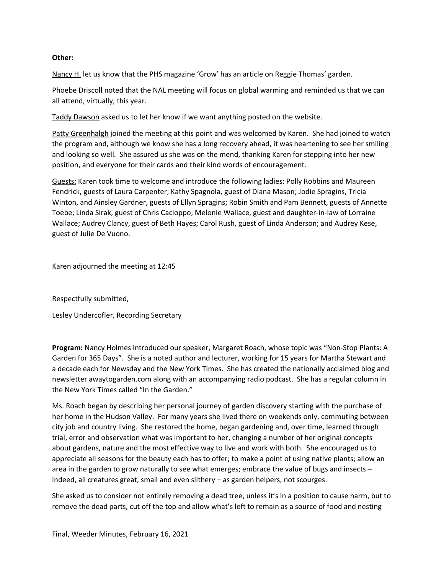# **Other:**

Nancy H. let us know that the PHS magazine 'Grow' has an article on Reggie Thomas' garden.

Phoebe Driscoll noted that the NAL meeting will focus on global warming and reminded us that we can all attend, virtually, this year.

Taddy Dawson asked us to let her know if we want anything posted on the website.

Patty Greenhalgh joined the meeting at this point and was welcomed by Karen. She had joined to watch the program and, although we know she has a long recovery ahead, it was heartening to see her smiling and looking so well. She assured us she was on the mend, thanking Karen for stepping into her new position, and everyone for their cards and their kind words of encouragement.

Guests: Karen took time to welcome and introduce the following ladies: Polly Robbins and Maureen Fendrick, guests of Laura Carpenter; Kathy Spagnola, guest of Diana Mason; Jodie Spragins, Tricia Winton, and Ainsley Gardner, guests of Ellyn Spragins; Robin Smith and Pam Bennett, guests of Annette Toebe; Linda Sirak, guest of Chris Cacioppo; Melonie Wallace, guest and daughter-in-law of Lorraine Wallace; Audrey Clancy, guest of Beth Hayes; Carol Rush, guest of Linda Anderson; and Audrey Kese, guest of Julie De Vuono.

Karen adjourned the meeting at 12:45

Respectfully submitted,

Lesley Undercofler, Recording Secretary

**Program:** Nancy Holmes introduced our speaker, Margaret Roach, whose topic was "Non-Stop Plants: A Garden for 365 Days". She is a noted author and lecturer, working for 15 years for Martha Stewart and a decade each for Newsday and the New York Times. She has created the nationally acclaimed blog and newsletter awaytogarden.com along with an accompanying radio podcast. She has a regular column in the New York Times called "In the Garden."

Ms. Roach began by describing her personal journey of garden discovery starting with the purchase of her home in the Hudson Valley. For many years she lived there on weekends only, commuting between city job and country living. She restored the home, began gardening and, over time, learned through trial, error and observation what was important to her, changing a number of her original concepts about gardens, nature and the most effective way to live and work with both. She encouraged us to appreciate all seasons for the beauty each has to offer; to make a point of using native plants; allow an area in the garden to grow naturally to see what emerges; embrace the value of bugs and insects – indeed, all creatures great, small and even slithery – as garden helpers, not scourges.

She asked us to consider not entirely removing a dead tree, unless it's in a position to cause harm, but to remove the dead parts, cut off the top and allow what's left to remain as a source of food and nesting